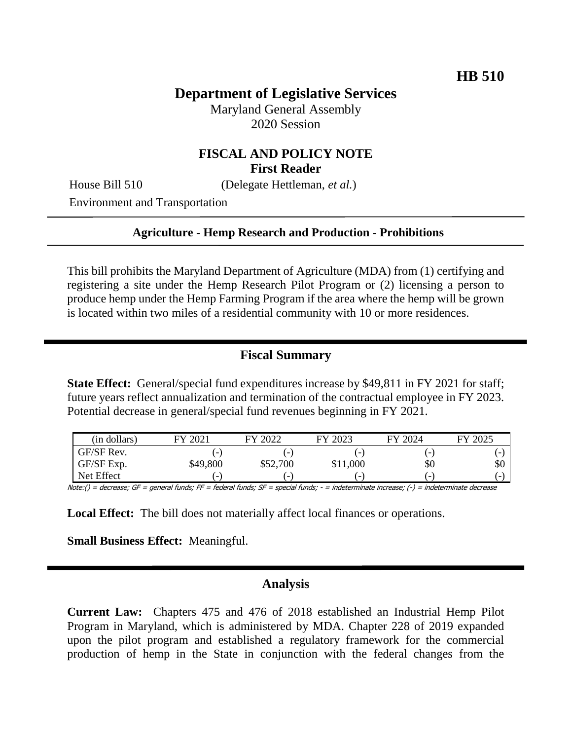# **Department of Legislative Services**

Maryland General Assembly 2020 Session

## **FISCAL AND POLICY NOTE First Reader**

House Bill 510 (Delegate Hettleman, *et al.*)

Environment and Transportation

#### **Agriculture - Hemp Research and Production - Prohibitions**

This bill prohibits the Maryland Department of Agriculture (MDA) from (1) certifying and registering a site under the Hemp Research Pilot Program or (2) licensing a person to produce hemp under the Hemp Farming Program if the area where the hemp will be grown is located within two miles of a residential community with 10 or more residences.

#### **Fiscal Summary**

**State Effect:** General/special fund expenditures increase by \$49,811 in FY 2021 for staff; future years reflect annualization and termination of the contractual employee in FY 2023. Potential decrease in general/special fund revenues beginning in FY 2021.

| (in dollars) | FY 2021                  | FY 2022                  | FY 2023                  | FY 2024                  | FY 2025 |
|--------------|--------------------------|--------------------------|--------------------------|--------------------------|---------|
| GF/SF Rev.   | $\epsilon$               | $\overline{\phantom{a}}$ | $\overline{\phantom{0}}$ | н.                       |         |
| GF/SF Exp.   | \$49,800                 | \$52,700                 | \$11,000                 | \$0                      | \$0     |
| Net Effect   | $\overline{\phantom{0}}$ | ۰                        | $\overline{\phantom{0}}$ | $\overline{\phantom{0}}$ |         |

Note:() = decrease; GF = general funds; FF = federal funds; SF = special funds; - = indeterminate increase; (-) = indeterminate decrease

**Local Effect:** The bill does not materially affect local finances or operations.

**Small Business Effect:** Meaningful.

#### **Analysis**

**Current Law:** Chapters 475 and 476 of 2018 established an Industrial Hemp Pilot Program in Maryland, which is administered by MDA. Chapter 228 of 2019 expanded upon the pilot program and established a regulatory framework for the commercial production of hemp in the State in conjunction with the federal changes from the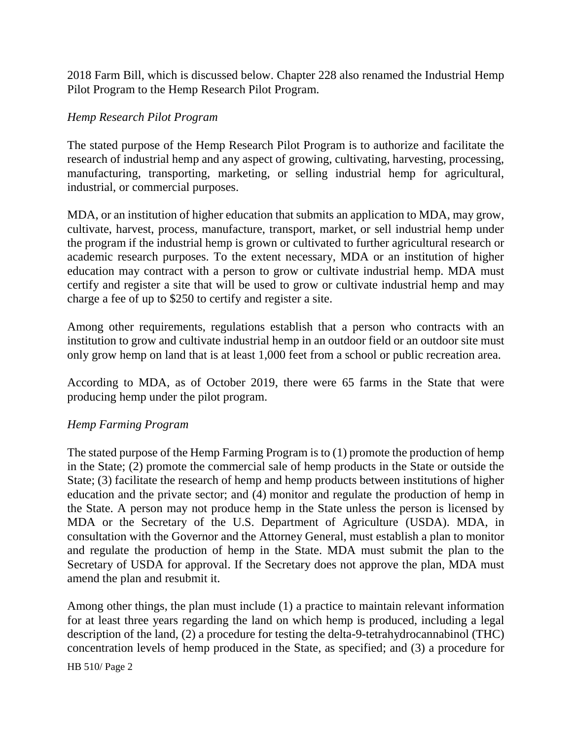2018 Farm Bill, which is discussed below. Chapter 228 also renamed the Industrial Hemp Pilot Program to the Hemp Research Pilot Program.

### *Hemp Research Pilot Program*

The stated purpose of the Hemp Research Pilot Program is to authorize and facilitate the research of industrial hemp and any aspect of growing, cultivating, harvesting, processing, manufacturing, transporting, marketing, or selling industrial hemp for agricultural, industrial, or commercial purposes.

MDA, or an institution of higher education that submits an application to MDA, may grow, cultivate, harvest, process, manufacture, transport, market, or sell industrial hemp under the program if the industrial hemp is grown or cultivated to further agricultural research or academic research purposes. To the extent necessary, MDA or an institution of higher education may contract with a person to grow or cultivate industrial hemp. MDA must certify and register a site that will be used to grow or cultivate industrial hemp and may charge a fee of up to \$250 to certify and register a site.

Among other requirements, regulations establish that a person who contracts with an institution to grow and cultivate industrial hemp in an outdoor field or an outdoor site must only grow hemp on land that is at least 1,000 feet from a school or public recreation area.

According to MDA, as of October 2019, there were 65 farms in the State that were producing hemp under the pilot program.

### *Hemp Farming Program*

The stated purpose of the Hemp Farming Program is to (1) promote the production of hemp in the State; (2) promote the commercial sale of hemp products in the State or outside the State; (3) facilitate the research of hemp and hemp products between institutions of higher education and the private sector; and (4) monitor and regulate the production of hemp in the State. A person may not produce hemp in the State unless the person is licensed by MDA or the Secretary of the U.S. Department of Agriculture (USDA). MDA, in consultation with the Governor and the Attorney General, must establish a plan to monitor and regulate the production of hemp in the State. MDA must submit the plan to the Secretary of USDA for approval. If the Secretary does not approve the plan, MDA must amend the plan and resubmit it.

Among other things, the plan must include (1) a practice to maintain relevant information for at least three years regarding the land on which hemp is produced, including a legal description of the land, (2) a procedure for testing the delta-9-tetrahydrocannabinol (THC) concentration levels of hemp produced in the State, as specified; and (3) a procedure for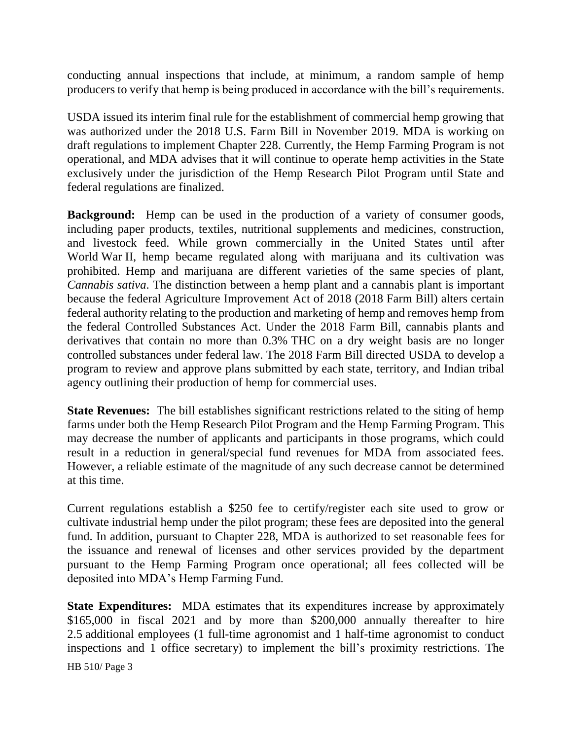conducting annual inspections that include, at minimum, a random sample of hemp producers to verify that hemp is being produced in accordance with the bill's requirements.

USDA issued its interim final rule for the establishment of commercial hemp growing that was authorized under the 2018 U.S. Farm Bill in November 2019. MDA is working on draft regulations to implement Chapter 228. Currently, the Hemp Farming Program is not operational, and MDA advises that it will continue to operate hemp activities in the State exclusively under the jurisdiction of the Hemp Research Pilot Program until State and federal regulations are finalized.

**Background:** Hemp can be used in the production of a variety of consumer goods, including paper products, textiles, nutritional supplements and medicines, construction, and livestock feed. While grown commercially in the United States until after World War II, hemp became regulated along with marijuana and its cultivation was prohibited. Hemp and marijuana are different varieties of the same species of plant, *Cannabis sativa*. The distinction between a hemp plant and a cannabis plant is important because the federal Agriculture Improvement Act of 2018 (2018 Farm Bill) alters certain federal authority relating to the production and marketing of hemp and removes hemp from the federal Controlled Substances Act. Under the 2018 Farm Bill, cannabis plants and derivatives that contain no more than 0.3% THC on a dry weight basis are no longer controlled substances under federal law. The 2018 Farm Bill directed USDA to develop a program to review and approve plans submitted by each state, territory, and Indian tribal agency outlining their production of hemp for commercial uses.

**State Revenues:** The bill establishes significant restrictions related to the siting of hemp farms under both the Hemp Research Pilot Program and the Hemp Farming Program. This may decrease the number of applicants and participants in those programs, which could result in a reduction in general/special fund revenues for MDA from associated fees. However, a reliable estimate of the magnitude of any such decrease cannot be determined at this time.

Current regulations establish a \$250 fee to certify/register each site used to grow or cultivate industrial hemp under the pilot program; these fees are deposited into the general fund. In addition, pursuant to Chapter 228, MDA is authorized to set reasonable fees for the issuance and renewal of licenses and other services provided by the department pursuant to the Hemp Farming Program once operational; all fees collected will be deposited into MDA's Hemp Farming Fund.

**State Expenditures:** MDA estimates that its expenditures increase by approximately \$165,000 in fiscal 2021 and by more than \$200,000 annually thereafter to hire 2.5 additional employees (1 full-time agronomist and 1 half-time agronomist to conduct inspections and 1 office secretary) to implement the bill's proximity restrictions. The

HB 510/ Page 3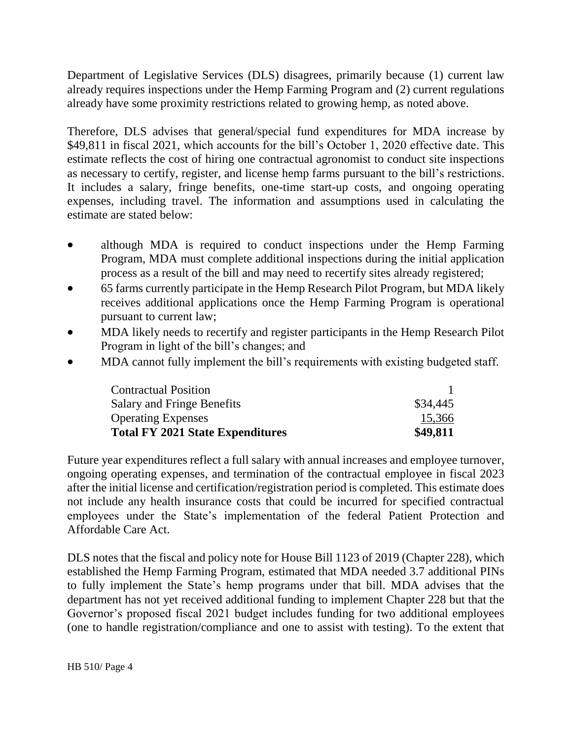Department of Legislative Services (DLS) disagrees, primarily because (1) current law already requires inspections under the Hemp Farming Program and (2) current regulations already have some proximity restrictions related to growing hemp, as noted above.

Therefore, DLS advises that general/special fund expenditures for MDA increase by \$49,811 in fiscal 2021, which accounts for the bill's October 1, 2020 effective date. This estimate reflects the cost of hiring one contractual agronomist to conduct site inspections as necessary to certify, register, and license hemp farms pursuant to the bill's restrictions. It includes a salary, fringe benefits, one-time start-up costs, and ongoing operating expenses, including travel. The information and assumptions used in calculating the estimate are stated below:

- although MDA is required to conduct inspections under the Hemp Farming Program, MDA must complete additional inspections during the initial application process as a result of the bill and may need to recertify sites already registered;
- 65 farms currently participate in the Hemp Research Pilot Program, but MDA likely receives additional applications once the Hemp Farming Program is operational pursuant to current law;
- MDA likely needs to recertify and register participants in the Hemp Research Pilot Program in light of the bill's changes; and
- MDA cannot fully implement the bill's requirements with existing budgeted staff*.*

| <b>Contractual Position</b>             |          |
|-----------------------------------------|----------|
| <b>Salary and Fringe Benefits</b>       | \$34,445 |
| <b>Operating Expenses</b>               | 15,366   |
| <b>Total FY 2021 State Expenditures</b> | \$49,811 |

Future year expenditures reflect a full salary with annual increases and employee turnover, ongoing operating expenses, and termination of the contractual employee in fiscal 2023 after the initial license and certification/registration period is completed. This estimate does not include any health insurance costs that could be incurred for specified contractual employees under the State's implementation of the federal Patient Protection and Affordable Care Act.

DLS notes that the fiscal and policy note for House Bill 1123 of 2019 (Chapter 228), which established the Hemp Farming Program, estimated that MDA needed 3.7 additional PINs to fully implement the State's hemp programs under that bill. MDA advises that the department has not yet received additional funding to implement Chapter 228 but that the Governor's proposed fiscal 2021 budget includes funding for two additional employees (one to handle registration/compliance and one to assist with testing). To the extent that